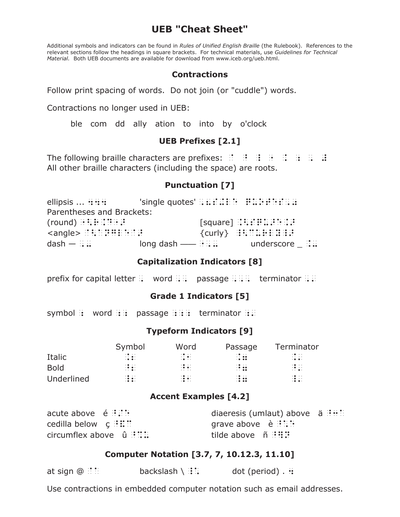# **UEB "Cheat Sheet"**

Additional symbols and indicators can be found in Rules of Unified English Braille (the Rulebook). References to the relevant sections follow the headings in square brackets. For technical materials, use Guidelines for Technical Material. Both UEB documents are available for download from www.iceb.org/ueb.html.

## **Contractions**

Follow print spacing of words. Do not join (or "cuddle") words.

Contractions no longer used in UEB:

ble com dd ally ation to into by o'clock

## **UEB Prefixes [2.1]**

The following braille characters are prefixes:  $\mathbb{R}^2 \times \mathbb{R}^2 \times \mathbb{R}^2 \times \mathbb{R}^2$ All other braille characters (including the space) are roots.

## **Punctuation [7]**

| ellipsis  ::::                         |   | $'$ single quotes' $\therefore$ $\therefore$ $\therefore$ $\therefore$ $\therefore$ $\therefore$ $\therefore$ $\therefore$ $\therefore$ $\therefore$ |  |
|----------------------------------------|---|------------------------------------------------------------------------------------------------------------------------------------------------------|--|
| Parentheses and Brackets:              |   |                                                                                                                                                      |  |
|                                        |   |                                                                                                                                                      |  |
| $\langle$ angle $\rangle$ :::::::::::: |   |                                                                                                                                                      |  |
| $dash - :: ::$                         | . | underscore $\therefore$                                                                                                                              |  |

## **Capitalization Indicators [8]**

prefix for capital letter :: word :::: passage :::::: terminator ::::

## Grade 1 Indicators [5]

symbol: word ::: passage :::: terminator ::

## **Typeform Indicators [9]**

|             | Symbol                                                                   | Word                                                                    | Passage                                                                  | Terminator                                                                 |
|-------------|--------------------------------------------------------------------------|-------------------------------------------------------------------------|--------------------------------------------------------------------------|----------------------------------------------------------------------------|
| Italic      | $\cdot \bullet \cdot \cdot$<br>$\cdots$<br>$\cdot \bullet \bullet \cdot$ | $\cdot \bullet \cdot \cdot$<br>$\cdots$ .<br>$\cdot \cdot \cdot$        | $\cdot \bullet \cdot \cdot$<br>$\cdot$ $\cdot$ $\cdot$ $\cdot$<br>. 0.00 | $\cdot \bullet \cdot \cdot$<br>.<br>$\cdot \bullet \bullet \cdot$          |
| <b>Bold</b> | $\cdot \bullet \cdot \cdot$<br>$\mathbb{R}^2$ and                        | $\cdot \bullet \cdot \cdot$<br>$\cdot \cdot \cdot$<br>$\cdots$          | $\cdot \bullet \cdot \cdot$<br>$-0.00$<br>$\cdots$                       | $\mathbb{C}^{\bullet}_{\bullet}$ $\mathbb{C}^{\ast}_{\bullet}$<br>$\cdots$ |
| Underlined  | $\cdot \bullet \cdot \cdot$<br>$\cdot \bullet \bullet \cdot$<br>$\cdot$  | $\cdot \bullet \cdot \cdot$<br>$\cdot \bullet \bullet \cdot$<br>$\cdot$ | $\cdot \bullet \cdot \cdot$<br>$-0.00$<br>$-0.00$                        | 18 D.<br>$\cdot \bullet \bullet \cdot$                                     |

## **Accent Examples [4.2]**

| acute above $\begin{array}{c} \n\text{\'e} \end{array}$ : | diaeresis (umlaut) above $a \div a$ |  |
|-----------------------------------------------------------|-------------------------------------|--|
| cedilla below $\mathbf{c} \oplus \mathbf{H}$ :            | grave above $\phi : \mathbb{R}^n$   |  |
| circumflex above $\hat{u}$ ::::                           | tilde above marti:                  |  |

## Computer Notation [3.7, 7, 10.12.3, 11.10]

| at sign $@$ : : | backslash $\setminus$ :: | dot (period) $\cdot$ :: |
|-----------------|--------------------------|-------------------------|
|-----------------|--------------------------|-------------------------|

Use contractions in embedded computer notation such as email addresses.